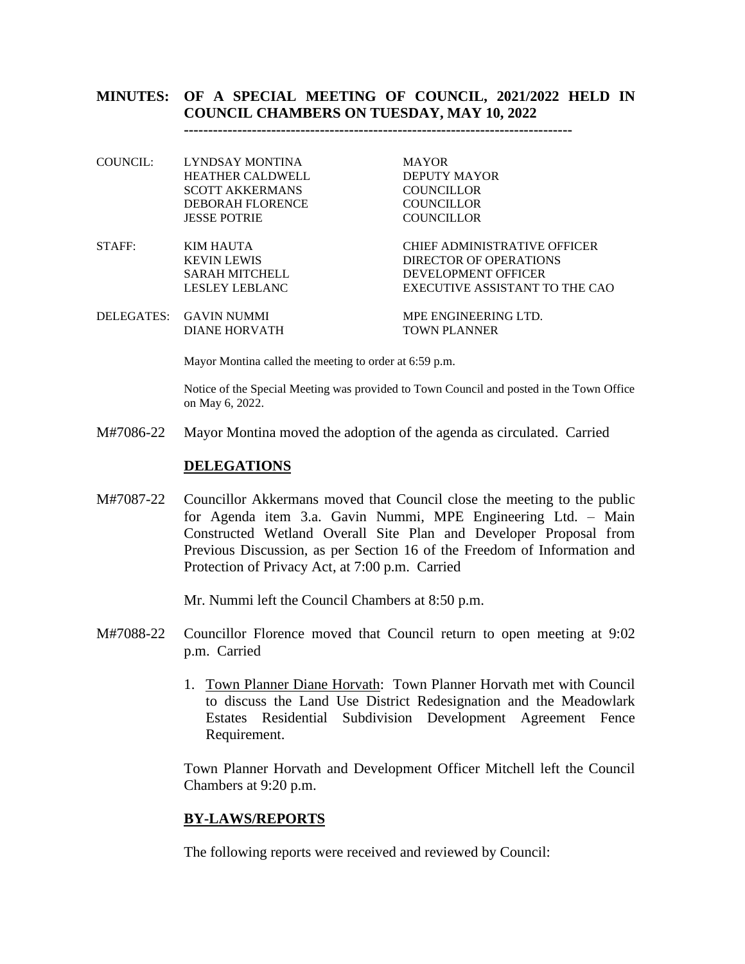## **MINUTES: OF A SPECIAL MEETING OF COUNCIL, 2021/2022 HELD IN COUNCIL CHAMBERS ON TUESDAY, MAY 10, 2022**

**--------------------------------------------------------------------------------**

- COUNCIL: LYNDSAY MONTINA MAYOR HEATHER CALDWELL DEPUTY MAYOR SCOTT AKKERMANS COUNCILLOR DEBORAH FLORENCE COUNCILLOR JESSE POTRIE COUNCILLOR
- STAFF: KIM HAUTA CHIEF ADMINISTRATIVE OFFICER

KEVIN LEWIS DIRECTOR OF OPERATIONS SARAH MITCHELL DEVELOPMENT OFFICER LESLEY LEBLANC EXECUTIVE ASSISTANT TO THE CAO

DELEGATES: GAVIN NUMMI MPE ENGINEERING LTD. DIANE HORVATH TOWN PLANNER

Mayor Montina called the meeting to order at 6:59 p.m.

Notice of the Special Meeting was provided to Town Council and posted in the Town Office on May 6, 2022.

M#7086-22 Mayor Montina moved the adoption of the agenda as circulated. Carried

#### **DELEGATIONS**

M#7087-22 Councillor Akkermans moved that Council close the meeting to the public for Agenda item 3.a. Gavin Nummi, MPE Engineering Ltd. – Main Constructed Wetland Overall Site Plan and Developer Proposal from Previous Discussion, as per Section 16 of the Freedom of Information and Protection of Privacy Act, at 7:00 p.m. Carried

Mr. Nummi left the Council Chambers at 8:50 p.m.

- M#7088-22 Councillor Florence moved that Council return to open meeting at 9:02 p.m. Carried
	- 1. Town Planner Diane Horvath: Town Planner Horvath met with Council to discuss the Land Use District Redesignation and the Meadowlark Estates Residential Subdivision Development Agreement Fence Requirement.

Town Planner Horvath and Development Officer Mitchell left the Council Chambers at 9:20 p.m.

#### **BY-LAWS/REPORTS**

The following reports were received and reviewed by Council: